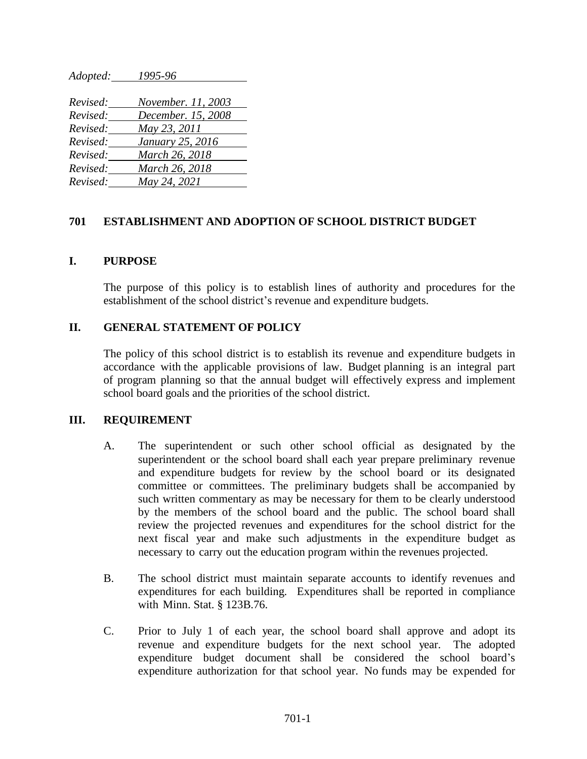*Adopted: 1995-96 Revised: November. 11, 2003 Revised: December. 15, 2008 Revised: May 23, 2011 Revised: January 25, 2016 Revised: March 26, 2018 Revised: March 26, 2018 Revised: May 24, 2021*

## **701 ESTABLISHMENT AND ADOPTION OF SCHOOL DISTRICT BUDGET**

### **I. PURPOSE**

The purpose of this policy is to establish lines of authority and procedures for the establishment of the school district's revenue and expenditure budgets.

## **II. GENERAL STATEMENT OF POLICY**

The policy of this school district is to establish its revenue and expenditure budgets in accordance with the applicable provisions of law. Budget planning is an integral part of program planning so that the annual budget will effectively express and implement school board goals and the priorities of the school district.

### **III. REQUIREMENT**

- A. The superintendent or such other school official as designated by the superintendent or the school board shall each year prepare preliminary revenue and expenditure budgets for review by the school board or its designated committee or committees. The preliminary budgets shall be accompanied by such written commentary as may be necessary for them to be clearly understood by the members of the school board and the public. The school board shall review the projected revenues and expenditures for the school district for the next fiscal year and make such adjustments in the expenditure budget as necessary to carry out the education program within the revenues projected.
- B. The school district must maintain separate accounts to identify revenues and expenditures for each building. Expenditures shall be reported in compliance with Minn. Stat. § 123B.76.
- C. Prior to July 1 of each year, the school board shall approve and adopt its revenue and expenditure budgets for the next school year. The adopted expenditure budget document shall be considered the school board's expenditure authorization for that school year. No funds may be expended for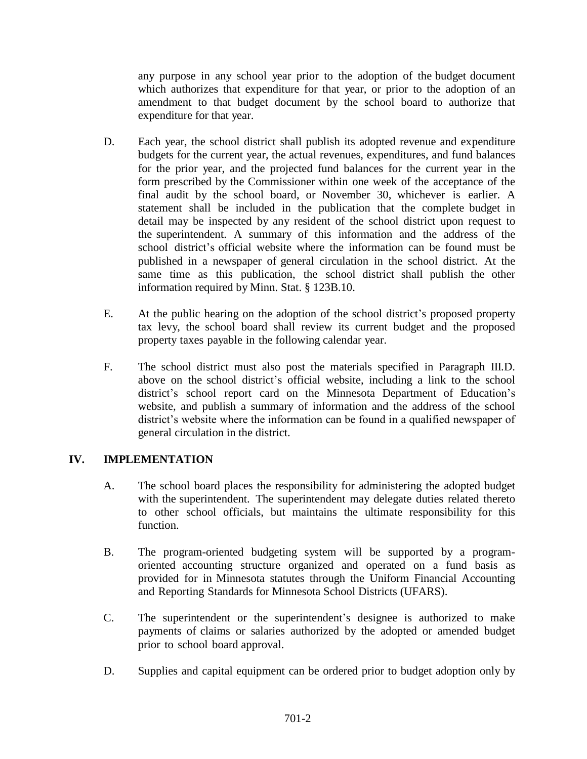any purpose in any school year prior to the adoption of the budget document which authorizes that expenditure for that year, or prior to the adoption of an amendment to that budget document by the school board to authorize that expenditure for that year.

- D. Each year, the school district shall publish its adopted revenue and expenditure budgets for the current year, the actual revenues, expenditures, and fund balances for the prior year, and the projected fund balances for the current year in the form prescribed by the Commissioner within one week of the acceptance of the final audit by the school board, or November 30, whichever is earlier. A statement shall be included in the publication that the complete budget in detail may be inspected by any resident of the school district upon request to the superintendent. A summary of this information and the address of the school district's official website where the information can be found must be published in a newspaper of general circulation in the school district. At the same time as this publication, the school district shall publish the other information required by Minn. Stat. § 123B.10.
- E. At the public hearing on the adoption of the school district's proposed property tax levy, the school board shall review its current budget and the proposed property taxes payable in the following calendar year.
- F. The school district must also post the materials specified in Paragraph III.D. above on the school district's official website, including a link to the school district's school report card on the Minnesota Department of Education's website, and publish a summary of information and the address of the school district's website where the information can be found in a qualified newspaper of general circulation in the district.

# **IV. IMPLEMENTATION**

- A. The school board places the responsibility for administering the adopted budget with the superintendent. The superintendent may delegate duties related thereto to other school officials, but maintains the ultimate responsibility for this function.
- B. The program-oriented budgeting system will be supported by a programoriented accounting structure organized and operated on a fund basis as provided for in Minnesota statutes through the Uniform Financial Accounting and Reporting Standards for Minnesota School Districts (UFARS).
- C. The superintendent or the superintendent's designee is authorized to make payments of claims or salaries authorized by the adopted or amended budget prior to school board approval.
- D. Supplies and capital equipment can be ordered prior to budget adoption only by